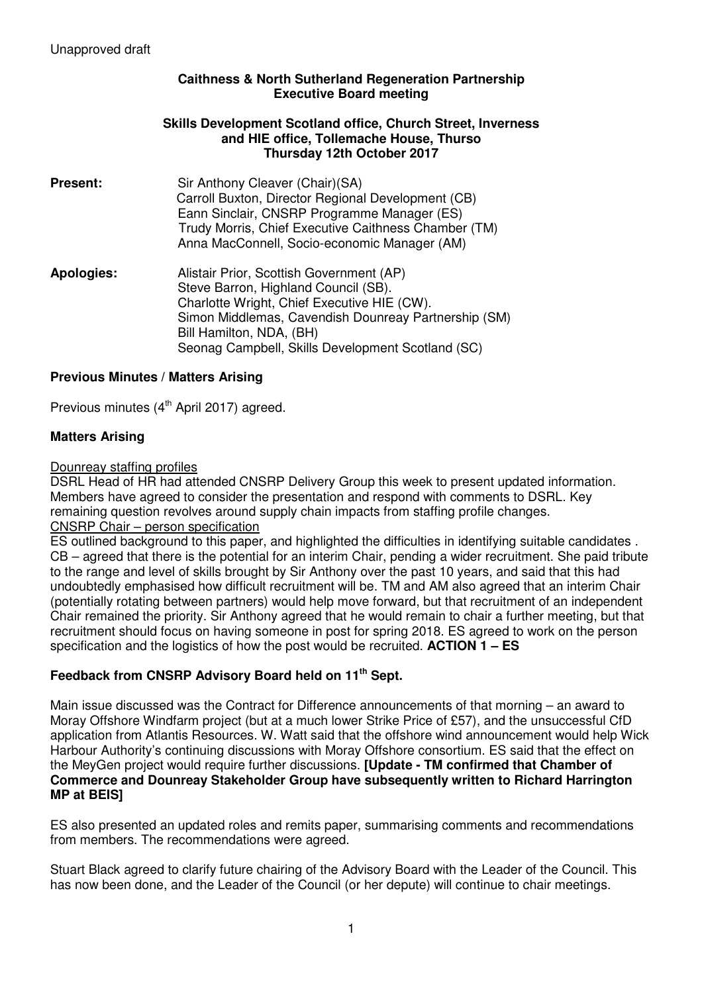## **Caithness & North Sutherland Regeneration Partnership Executive Board meeting**

#### **Skills Development Scotland office, Church Street, Inverness and HIE office, Tollemache House, Thurso Thursday 12th October 2017**

- **Present:** Sir Anthony Cleaver (Chair)(SA) Carroll Buxton, Director Regional Development (CB) Eann Sinclair, CNSRP Programme Manager (ES) Trudy Morris, Chief Executive Caithness Chamber (TM) Anna MacConnell, Socio-economic Manager (AM) **Apologies:** Alistair Prior, Scottish Government (AP) Steve Barron, Highland Council (SB).
	- Charlotte Wright, Chief Executive HIE (CW). Simon Middlemas, Cavendish Dounreay Partnership (SM) Bill Hamilton, NDA, (BH) Seonag Campbell, Skills Development Scotland (SC)

# **Previous Minutes / Matters Arising**

Previous minutes  $(4<sup>th</sup>$  April 2017) agreed.

## **Matters Arising**

#### Dounreay staffing profiles

DSRL Head of HR had attended CNSRP Delivery Group this week to present updated information. Members have agreed to consider the presentation and respond with comments to DSRL. Key remaining question revolves around supply chain impacts from staffing profile changes. CNSRP Chair – person specification

ES outlined background to this paper, and highlighted the difficulties in identifying suitable candidates . CB – agreed that there is the potential for an interim Chair, pending a wider recruitment. She paid tribute to the range and level of skills brought by Sir Anthony over the past 10 years, and said that this had undoubtedly emphasised how difficult recruitment will be. TM and AM also agreed that an interim Chair (potentially rotating between partners) would help move forward, but that recruitment of an independent Chair remained the priority. Sir Anthony agreed that he would remain to chair a further meeting, but that recruitment should focus on having someone in post for spring 2018. ES agreed to work on the person specification and the logistics of how the post would be recruited. **ACTION 1 – ES** 

# **Feedback from CNSRP Advisory Board held on 11th Sept.**

Main issue discussed was the Contract for Difference announcements of that morning – an award to Moray Offshore Windfarm project (but at a much lower Strike Price of £57), and the unsuccessful CfD application from Atlantis Resources. W. Watt said that the offshore wind announcement would help Wick Harbour Authority's continuing discussions with Moray Offshore consortium. ES said that the effect on the MeyGen project would require further discussions. **[Update - TM confirmed that Chamber of Commerce and Dounreay Stakeholder Group have subsequently written to Richard Harrington MP at BEIS]** 

ES also presented an updated roles and remits paper, summarising comments and recommendations from members. The recommendations were agreed.

Stuart Black agreed to clarify future chairing of the Advisory Board with the Leader of the Council. This has now been done, and the Leader of the Council (or her depute) will continue to chair meetings.